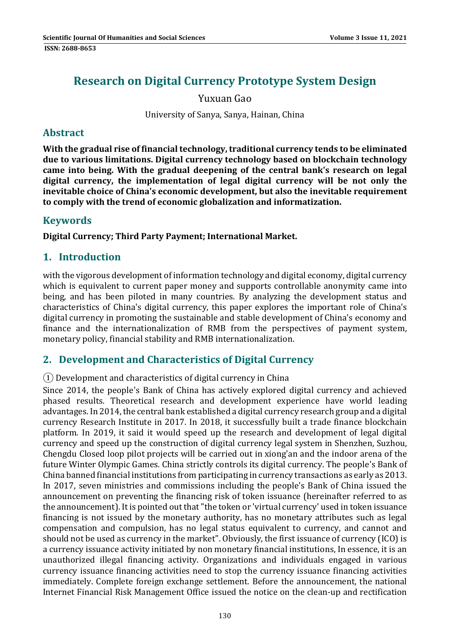# **Research on Digital Currency Prototype System Design**

Yuxuan Gao 

University of Sanya, Sanya, Hainan, China

## **Abstract**

**With the gradual rise of financialtechnology, traditional currency tends to be eliminated due to various limitations. Digital currency technology based on blockchain technology came into being. With the gradual deepening of the central bank's research on legal digital currency, the implementation of legal digital currency will be not only the inevitable choice of China's economic development, but also the inevitable requirement to comply with the trend of economic globalization and informatization.**

## **Keywords**

**Digital Currency; Third Party Payment; International Market.**

## **1. Introduction**

with the vigorous development of information technology and digital economy, digital currency which is equivalent to current paper money and supports controllable anonymity came into being, and has been piloted in many countries. By analyzing the development status and characteristics of China's digital currency, this paper explores the important role of China's digital currency in promoting the sustainable and stable development of China's economy and finance and the internationalization of RMB from the perspectives of payment system, monetary policy, financial stability and RMB internationalization.

## **2. Development and Characteristics of Digital Currency**

 $(1)$  Development and characteristics of digital currency in China

Since 2014, the people's Bank of China has actively explored digital currency and achieved phased results. Theoretical research and development experience have world leading advantages. In 2014, the central bank established a digital currency research group and a digital currency Research Institute in 2017. In 2018, it successfully built a trade finance blockchain platform. In 2019, it said it would speed up the research and development of legal digital currency and speed up the construction of digital currency legal system in Shenzhen, Suzhou, Chengdu Closed loop pilot projects will be carried out in xiong'an and the indoor arena of the future Winter Olympic Games. China strictly controls its digital currency. The people's Bank of China banned financial institutions from participating in currency transactions as early as 2013. In 2017, seven ministries and commissions including the people's Bank of China issued the announcement on preventing the financing risk of token issuance (hereinafter referred to as the announcement). It is pointed out that "the token or 'virtual currency' used in token issuance financing is not issued by the monetary authority, has no monetary attributes such as legal compensation and compulsion, has no legal status equivalent to currency, and cannot and should not be used as currency in the market". Obviously, the first issuance of currency (ICO) is a currency issuance activity initiated by non monetary financial institutions, In essence, it is an unauthorized illegal financing activity. Organizations and individuals engaged in various currency issuance financing activities need to stop the currency issuance financing activities immediately. Complete foreign exchange settlement. Before the announcement, the national Internet Financial Risk Management Office issued the notice on the clean-up and rectification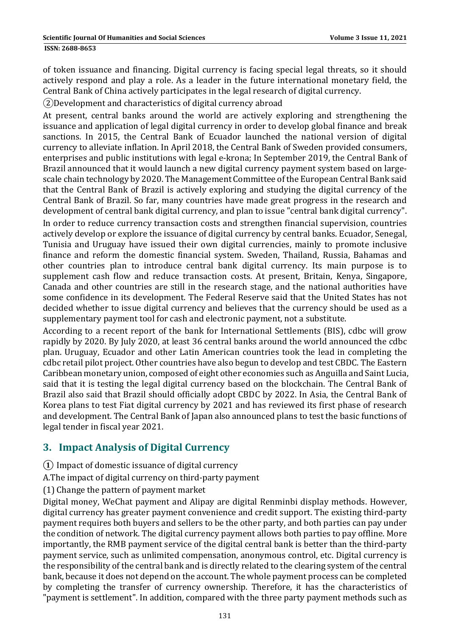#### **ISSN: 2688-8653**

of token issuance and financing. Digital currency is facing special legal threats, so it should actively respond and play a role. As a leader in the future international monetary field, the Central Bank of China actively participates in the legal research of digital currency.

②Development and characteristics of digital currency abroad 

At present, central banks around the world are actively exploring and strengthening the issuance and application of legal digital currency in order to develop global finance and break sanctions. In 2015, the Central Bank of Ecuador launched the national version of digital currency to alleviate inflation. In April 2018, the Central Bank of Sweden provided consumers, enterprises and public institutions with legal e-krona; In September 2019, the Central Bank of Brazil announced that it would launch a new digital currency payment system based on largescale chain technology by 2020. The Management Committee of the European Central Bank said that the Central Bank of Brazil is actively exploring and studying the digital currency of the Central Bank of Brazil. So far, many countries have made great progress in the research and development of central bank digital currency, and plan to issue "central bank digital currency". In order to reduce currency transaction costs and strengthen financial supervision, countries actively develop or explore the issuance of digital currency by central banks. Ecuador, Senegal, Tunisia and Uruguay have issued their own digital currencies, mainly to promote inclusive finance and reform the domestic financial system. Sweden, Thailand, Russia, Bahamas and other countries plan to introduce central bank digital currency. Its main purpose is to supplement cash flow and reduce transaction costs. At present, Britain, Kenya, Singapore, Canada and other countries are still in the research stage, and the national authorities have some confidence in its development. The Federal Reserve said that the United States has not decided whether to issue digital currency and believes that the currency should be used as a supplementary payment tool for cash and electronic payment, not a substitute.

According to a recent report of the bank for International Settlements (BIS), cdbc will grow rapidly by 2020. By July 2020, at least 36 central banks around the world announced the cdbc plan. Uruguay, Ecuador and other Latin American countries took the lead in completing the cdbc retail pilot project. Other countries have also begun to develop and test CBDC. The Eastern Caribbean monetary union, composed of eight other economies such as Anguilla and Saint Lucia, said that it is testing the legal digital currency based on the blockchain. The Central Bank of Brazil also said that Brazil should officially adopt CBDC by 2022. In Asia, the Central Bank of Korea plans to test Fiat digital currency by 2021 and has reviewed its first phase of research and development. The Central Bank of Japan also announced plans to test the basic functions of legal tender in fiscal year 2021.

## **3. Impact Analysis of Digital Currency**

- **①** Impact of domestic issuance of digital currency
- A. The impact of digital currency on third-party payment
- (1) Change the pattern of payment market

Digital money, WeChat payment and Alipay are digital Renminbi display methods. However, digital currency has greater payment convenience and credit support. The existing third-party payment requires both buyers and sellers to be the other party, and both parties can pay under the condition of network. The digital currency payment allows both parties to pay offline. More importantly, the RMB payment service of the digital central bank is better than the third-party payment service, such as unlimited compensation, anonymous control, etc. Digital currency is the responsibility of the central bank and is directly related to the clearing system of the central bank, because it does not depend on the account. The whole payment process can be completed by completing the transfer of currency ownership. Therefore, it has the characteristics of "payment is settlement". In addition, compared with the three party payment methods such as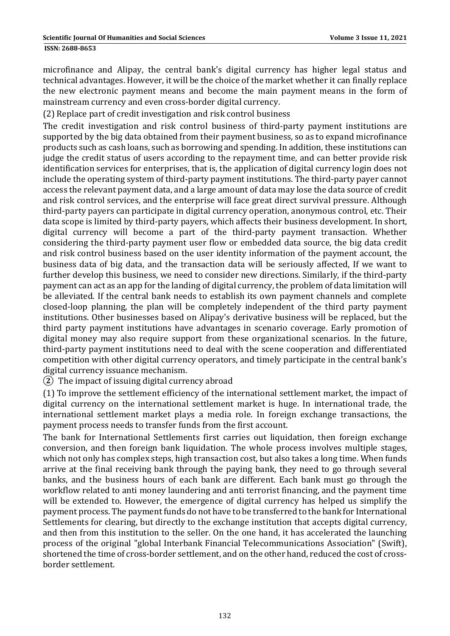#### **ISSN: 2688-8653**

microfinance and Alipay, the central bank's digital currency has higher legal status and technical advantages. However, it will be the choice of the market whether it can finally replace the new electronic payment means and become the main payment means in the form of mainstream currency and even cross-border digital currency.

(2) Replace part of credit investigation and risk control business

The credit investigation and risk control business of third-party payment institutions are supported by the big data obtained from their payment business, so as to expand microfinance products such as cash loans, such as borrowing and spending. In addition, these institutions can judge the credit status of users according to the repayment time, and can better provide risk identification services for enterprises, that is, the application of digital currency login does not include the operating system of third-party payment institutions. The third-party payer cannot access the relevant payment data, and a large amount of data may lose the data source of credit and risk control services, and the enterprise will face great direct survival pressure. Although third-party payers can participate in digital currency operation, anonymous control, etc. Their data scope is limited by third-party payers, which affects their business development. In short, digital currency will become a part of the third-party payment transaction. Whether considering the third-party payment user flow or embedded data source, the big data credit and risk control business based on the user identity information of the payment account, the business data of big data, and the transaction data will be seriously affected, If we want to further develop this business, we need to consider new directions. Similarly, if the third-party payment can act as an app for the landing of digital currency, the problem of data limitation will be alleviated. If the central bank needs to establish its own payment channels and complete closed-loop planning, the plan will be completely independent of the third party payment institutions. Other businesses based on Alipay's derivative business will be replaced, but the third party payment institutions have advantages in scenario coverage. Early promotion of digital money may also require support from these organizational scenarios. In the future, third-party payment institutions need to deal with the scene cooperation and differentiated competition with other digital currency operators, and timely participate in the central bank's digital currency issuance mechanism.

(2) The impact of issuing digital currency abroad

(1) To improve the settlement efficiency of the international settlement market, the impact of digital currency on the international settlement market is huge. In international trade, the international settlement market plays a media role. In foreign exchange transactions, the payment process needs to transfer funds from the first account.

The bank for International Settlements first carries out liquidation, then foreign exchange conversion, and then foreign bank liquidation. The whole process involves multiple stages, which not only has complex steps, high transaction cost, but also takes a long time. When funds arrive at the final receiving bank through the paying bank, they need to go through several banks, and the business hours of each bank are different. Each bank must go through the workflow related to anti money laundering and anti terrorist financing, and the payment time will be extended to. However, the emergence of digital currency has helped us simplify the payment process. The payment funds do not have to be transferred to the bank for International Settlements for clearing, but directly to the exchange institution that accepts digital currency, and then from this institution to the seller. On the one hand, it has accelerated the launching process of the original "global Interbank Financial Telecommunications Association" (Swift), shortened the time of cross-border settlement, and on the other hand, reduced the cost of crossborder settlement.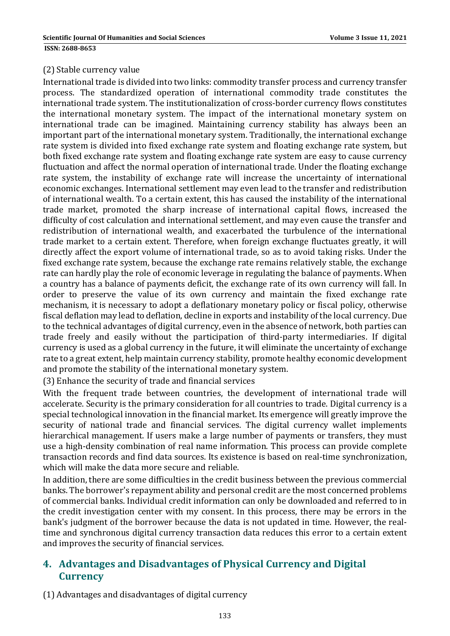### (2) Stable currency value

International trade is divided into two links: commodity transfer process and currency transfer process. The standardized operation of international commodity trade constitutes the international trade system. The institutionalization of cross-border currency flows constitutes the international monetary system. The impact of the international monetary system on international trade can be imagined. Maintaining currency stability has always been an important part of the international monetary system. Traditionally, the international exchange rate system is divided into fixed exchange rate system and floating exchange rate system, but both fixed exchange rate system and floating exchange rate system are easy to cause currency fluctuation and affect the normal operation of international trade. Under the floating exchange rate system, the instability of exchange rate will increase the uncertainty of international economic exchanges. International settlement may even lead to the transfer and redistribution of international wealth. To a certain extent, this has caused the instability of the international trade market, promoted the sharp increase of international capital flows, increased the difficulty of cost calculation and international settlement, and may even cause the transfer and redistribution of international wealth, and exacerbated the turbulence of the international trade market to a certain extent. Therefore, when foreign exchange fluctuates greatly, it will directly affect the export volume of international trade, so as to avoid taking risks. Under the fixed exchange rate system, because the exchange rate remains relatively stable, the exchange rate can hardly play the role of economic leverage in regulating the balance of payments. When a country has a balance of payments deficit, the exchange rate of its own currency will fall. In order to preserve the value of its own currency and maintain the fixed exchange rate mechanism, it is necessary to adopt a deflationary monetary policy or fiscal policy, otherwise fiscal deflation may lead to deflation, decline in exports and instability of the local currency. Due to the technical advantages of digital currency, even in the absence of network, both parties can trade freely and easily without the participation of third-party intermediaries. If digital currency is used as a global currency in the future, it will eliminate the uncertainty of exchange rate to a great extent, help maintain currency stability, promote healthy economic development and promote the stability of the international monetary system.

(3) Enhance the security of trade and financial services

With the frequent trade between countries, the development of international trade will accelerate. Security is the primary consideration for all countries to trade. Digital currency is a special technological innovation in the financial market. Its emergence will greatly improve the security of national trade and financial services. The digital currency wallet implements hierarchical management. If users make a large number of payments or transfers, they must use a high-density combination of real name information. This process can provide complete transaction records and find data sources. Its existence is based on real-time synchronization, which will make the data more secure and reliable.

In addition, there are some difficulties in the credit business between the previous commercial banks. The borrower's repayment ability and personal credit are the most concerned problems of commercial banks. Individual credit information can only be downloaded and referred to in the credit investigation center with my consent. In this process, there may be errors in the bank's judgment of the borrower because the data is not updated in time. However, the realtime and synchronous digital currency transaction data reduces this error to a certain extent and improves the security of financial services.

# **4. Advantages and Disadvantages of Physical Currency and Digital Currency**

(1) Advantages and disadvantages of digital currency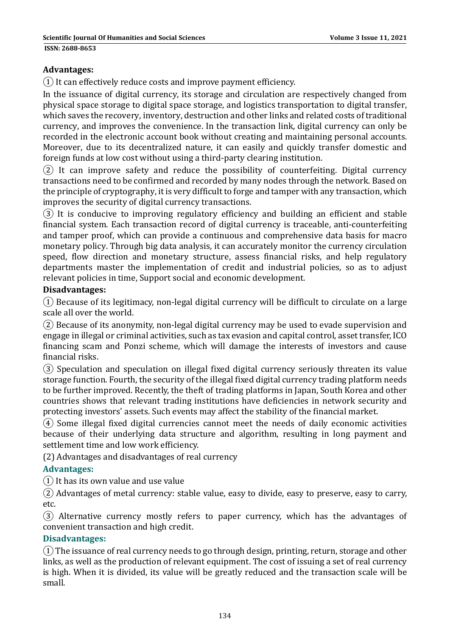### **Advantages:**

 $\Omega$  It can effectively reduce costs and improve payment efficiency.

In the issuance of digital currency, its storage and circulation are respectively changed from physical space storage to digital space storage, and logistics transportation to digital transfer, which saves the recovery, inventory, destruction and other links and related costs of traditional currency, and improves the convenience. In the transaction link, digital currency can only be recorded in the electronic account book without creating and maintaining personal accounts. Moreover, due to its decentralized nature, it can easily and quickly transfer domestic and foreign funds at low cost without using a third-party clearing institution.

 $(2)$  It can improve safety and reduce the possibility of counterfeiting. Digital currency transactions need to be confirmed and recorded by many nodes through the network. Based on the principle of cryptography, it is very difficult to forge and tamper with any transaction, which improves the security of digital currency transactions.

 $\overline{3}$ ) It is conducive to improving regulatory efficiency and building an efficient and stable financial system. Each transaction record of digital currency is traceable, anti-counterfeiting and tamper proof, which can provide a continuous and comprehensive data basis for macro monetary policy. Through big data analysis, it can accurately monitor the currency circulation speed, flow direction and monetary structure, assess financial risks, and help regulatory departments master the implementation of credit and industrial policies, so as to adjust relevant policies in time, Support social and economic development.

### **Disadvantages:**

 $\Omega$  Because of its legitimacy, non-legal digital currency will be difficult to circulate on a large scale all over the world.

 $(2)$  Because of its anonymity, non-legal digital currency may be used to evade supervision and engage in illegal or criminal activities, such as tax evasion and capital control, asset transfer, ICO financing scam and Ponzi scheme, which will damage the interests of investors and cause financial risks. 

③ Speculation and speculation on illegal fixed digital currency seriously threaten its value storage function. Fourth, the security of the illegal fixed digital currency trading platform needs to be further improved. Recently, the theft of trading platforms in Japan, South Korea and other countries shows that relevant trading institutions have deficiencies in network security and protecting investors' assets. Such events may affect the stability of the financial market.

 $\overline{a}$ ) Some illegal fixed digital currencies cannot meet the needs of daily economic activities because of their underlying data structure and algorithm, resulting in long payment and settlement time and low work efficiency.

(2) Advantages and disadvantages of real currency

### **Advantages:**

 $(1)$  It has its own value and use value

② Advantages of metal currency: stable value, easy to divide, easy to preserve, easy to carry, etc. 

③ Alternative currency mostly refers to paper currency, which has the advantages of convenient transaction and high credit.

### **Disadvantages:**

 $(1)$  The issuance of real currency needs to go through design, printing, return, storage and other links, as well as the production of relevant equipment. The cost of issuing a set of real currency is high. When it is divided, its value will be greatly reduced and the transaction scale will be small.